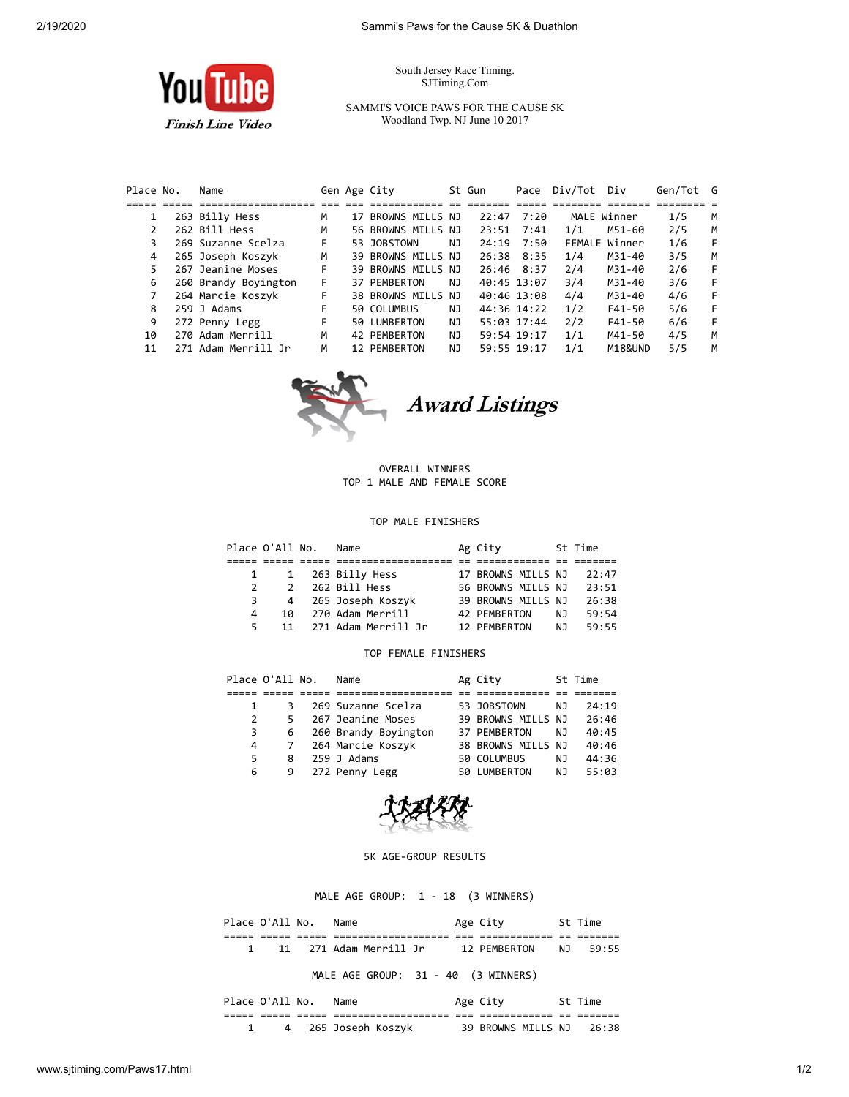South Jersey Race Timing. SJTiming.Com

You **Finish Line Video** 

SAMMI'S VOICE PAWS FOR THE CAUSE 5K Woodland Twp. NJ June 10 2017

| Place No. | Name                 |    |    | Gen Age City       |     | St Gun      | Pace        | Div/Tot Div |                    | Gen/Tot G |   |
|-----------|----------------------|----|----|--------------------|-----|-------------|-------------|-------------|--------------------|-----------|---|
|           |                      |    |    |                    |     |             |             |             |                    |           |   |
| 1         | 263 Billy Hess       | м  | 17 | BROWNS MILLS NJ    |     | 22:47       | 7:20        |             | MALE Winner        | 1/5       | M |
|           | 262 Bill Hess        | М  |    | 56 BROWNS MILLS NJ |     | 23:51       | 7:41        | 1/1         | M51-60             | 2/5       | M |
| 3         | 269 Suzanne Scelza   | F. |    | 53 JOBSTOWN        | NJ. | 24:19       | 7:50        |             | FEMALE Winner      | 1/6       | F |
| 4         | 265 Joseph Koszyk    | м  |    | 39 BROWNS MILLS NJ |     | 26:38       | 8:35        | 1/4         | M31-40             | 3/5       | M |
| 5         | 267 Jeanine Moses    | F  |    | 39 BROWNS MILLS NJ |     |             | 26:46 8:37  | 2/4         | M31-40             | 2/6       | F |
| 6         | 260 Brandy Boyington | F. |    | 37 PEMBERTON       | NJ. | 40:45 13:07 |             | 3/4         | M31-40             | 3/6       | F |
|           | 264 Marcie Koszyk    | F  |    | 38 BROWNS MILLS NJ |     | 40:46 13:08 |             | 4/4         | M31-40             | 4/6       | F |
| 8         | 259 J Adams          | F  |    | 50 COLUMBUS        | NJ  |             | 44:36 14:22 | 1/2         | F41-50             | 5/6       | F |
| 9         | 272 Penny Legg       | F  |    | 50 LUMBERTON       | NJ. |             | 55:03 17:44 | 2/2         | $F41 - 50$         | 6/6       | F |
| 10        | 270 Adam Merrill     | М  |    | 42 PEMBERTON       | NJ  |             | 59:54 19:17 | 1/1         | M41-50             | 4/5       | M |
| 11        | 271 Adam Merrill Jr  | М  |    | 12 PEMBERTON       | NJ  | 59:55 19:17 |             | 1/1         | <b>M18&amp;UND</b> | 5/5       | м |



## OVERALL WINNERS TOP 1 MALE AND FEMALE SCORE

## TOP MALE FINISHERS

|                | Place O'All No. | Name                | Ag City            |    | St Time |
|----------------|-----------------|---------------------|--------------------|----|---------|
|                |                 |                     |                    |    |         |
|                |                 | 1 263 Billy Hess    | 17 BROWNS MILLS NJ |    | 22:47   |
| $\mathcal{P}$  | $\mathcal{P}$   | 262 Bill Hess       | 56 BROWNS MILLS NJ |    | 23:51   |
| $\overline{3}$ | 4               | 265 Joseph Koszyk   | 39 BROWNS MILLS NJ |    | 26:38   |
| 4              | 10              | 270 Adam Merrill    | 42 PEMBERTON       | N٦ | 59:54   |
| 5.             | 11              | 271 Adam Merrill Jr | 12 PEMBERTON       | N٦ | 59:55   |

## TOP FEMALE FINISHERS

|   | Place O'All No. | Name                 | Ag City            |    | St Time |
|---|-----------------|----------------------|--------------------|----|---------|
|   |                 |                      |                    |    |         |
|   | 3               | 269 Suzanne Scelza   | 53 JOBSTOWN        | NJ | 24:19   |
| 2 | 5.              | 267 Jeanine Moses    | 39 BROWNS MILLS NJ |    | 26:46   |
| 3 | 6               | 260 Brandy Boyington | 37 PEMBERTON       | NJ | 40:45   |
| 4 |                 | 264 Marcie Koszyk    | 38 BROWNS MILLS NJ |    | 40:46   |
| 5 | 8               | $259$ J Adams        | 50 COLUMBUS        | NJ | 44:36   |
| 6 | 9               | 272 Penny Legg       | 50 LUMBERTON       | NJ | 55:03   |



## 5K AGE-GROUP RESULTS

MALE AGE GROUP: 1 - 18 (3 WINNERS)

| Place O'All No. |       | Name                |     | Age City     |     | St Time |
|-----------------|-------|---------------------|-----|--------------|-----|---------|
| _____           | _____ |                     | --- |              | $-$ | _______ |
|                 | 11    | 271 Adam Merrill Jr |     | 12 PFMRFRTON | N T | 59:55   |

MALE AGE GROUP: 31 - 40 (3 WINNERS)

| Place O'All No. |  | Name              | Age City           | St Time |
|-----------------|--|-------------------|--------------------|---------|
|                 |  |                   |                    |         |
|                 |  | 265 Joseph Koszyk | 39 BROWNS MILLS NJ | 26:38   |